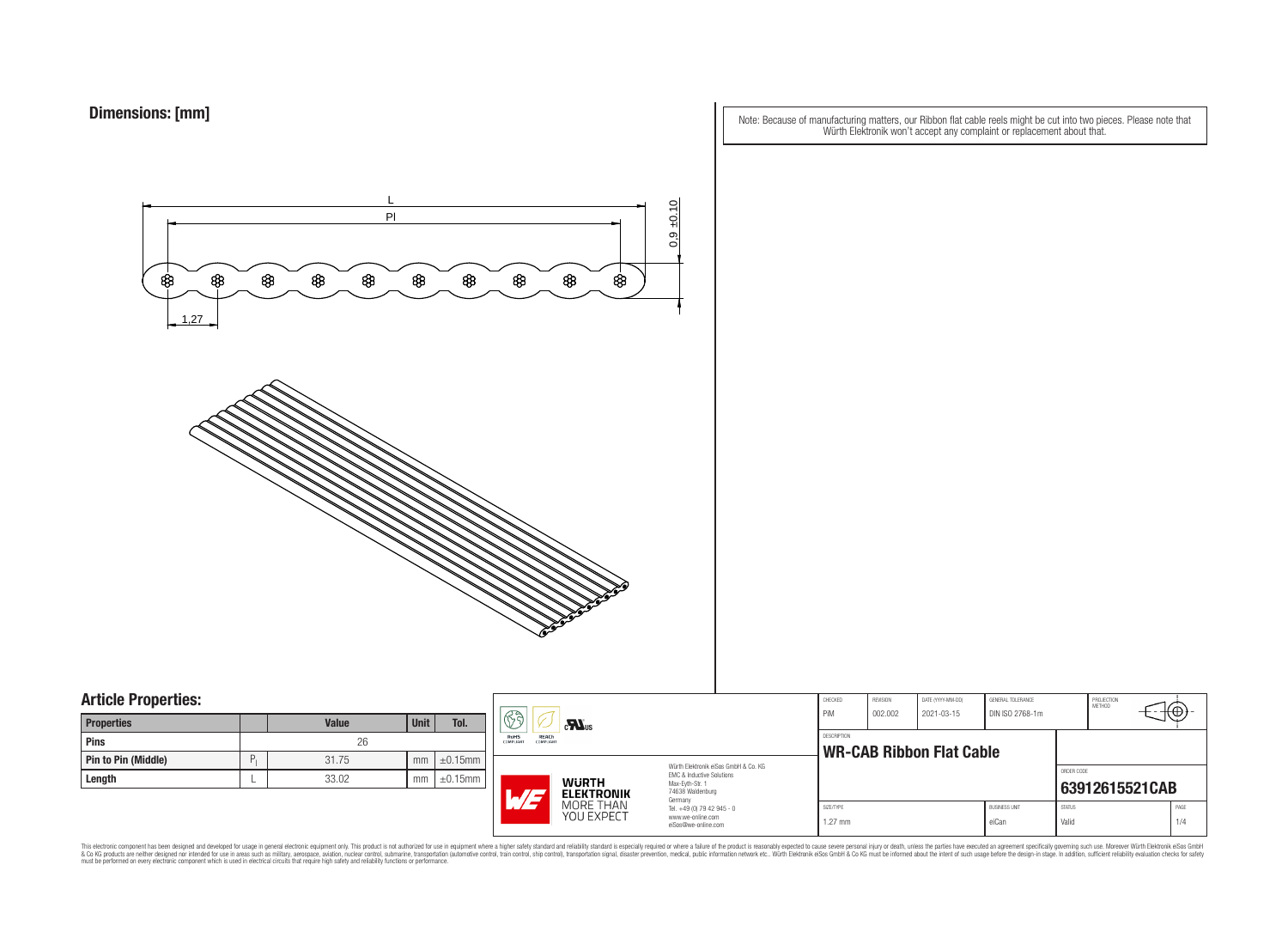Note: Because of manufacturing matters, our Ribbon flat cable reels might be cut into two pieces. Please note that Würth Elektronik won't accept any complaint or replacement about that.



### **Article Properties:**

| <b>Properties</b>          |   | <b>Value</b> | <b>Unit</b> | Tol.          |
|----------------------------|---|--------------|-------------|---------------|
| Pins                       |   | 26           |             |               |
| <b>Pin to Pin (Middle)</b> | P | 31.75        | mm          | $\pm 0.15$ mm |
| Length                     |   | 33.02        | mm          | $\pm 0.15$ mm |

| лI. | $\mathbb{G}$<br>$\mathbf{M}_{\text{us}}$<br>REACh<br>RoHS<br>COMPLIANT<br>COMPLIANT<br>Würth Elektronik eiSos GmbH & Co. KG<br>EMC & Inductive Solutions<br><b>WURTH</b><br>Max-Eyth-Str. 1<br>74638 Waldenburg<br>$\sqrt{2}$<br><b>ELEKTRONIK</b> |                         | CHECKED<br>PiM                                                         | REVISION<br>002.002    | DATE (YYYY-MM-DD)<br>2021-03-15 | GENERAL TOLERANCE<br>DIN ISO 2768-1m |                               | PROJECTION<br><b>METHOD</b> | +⊕             |             |  |
|-----|----------------------------------------------------------------------------------------------------------------------------------------------------------------------------------------------------------------------------------------------------|-------------------------|------------------------------------------------------------------------|------------------------|---------------------------------|--------------------------------------|-------------------------------|-----------------------------|----------------|-------------|--|
| 5mm |                                                                                                                                                                                                                                                    |                         |                                                                        | <b>DESCRIPTION</b>     | <b>WR-CAB Ribbon Flat Cable</b> |                                      |                               |                             |                |             |  |
| 5mm |                                                                                                                                                                                                                                                    |                         | Germany                                                                |                        |                                 |                                      |                               | ORDER CODE                  | 63912615521CAB |             |  |
|     |                                                                                                                                                                                                                                                    | MORE THAN<br>YOU EXPECT | Tel. +49 (0) 79 42 945 - 0<br>www.we-online.com<br>eiSos@we-online.com | SIZE/TYPE<br>$1.27$ mm |                                 |                                      | <b>BUSINESS UNIT</b><br>eiCan | <b>STATUS</b><br>Valid      |                | PAGE<br>1/4 |  |

This electronic component has been designed and developed for usage in general electronic equipment only. This product is not authorized for subserved requipment where a higher selection equipment where a higher selection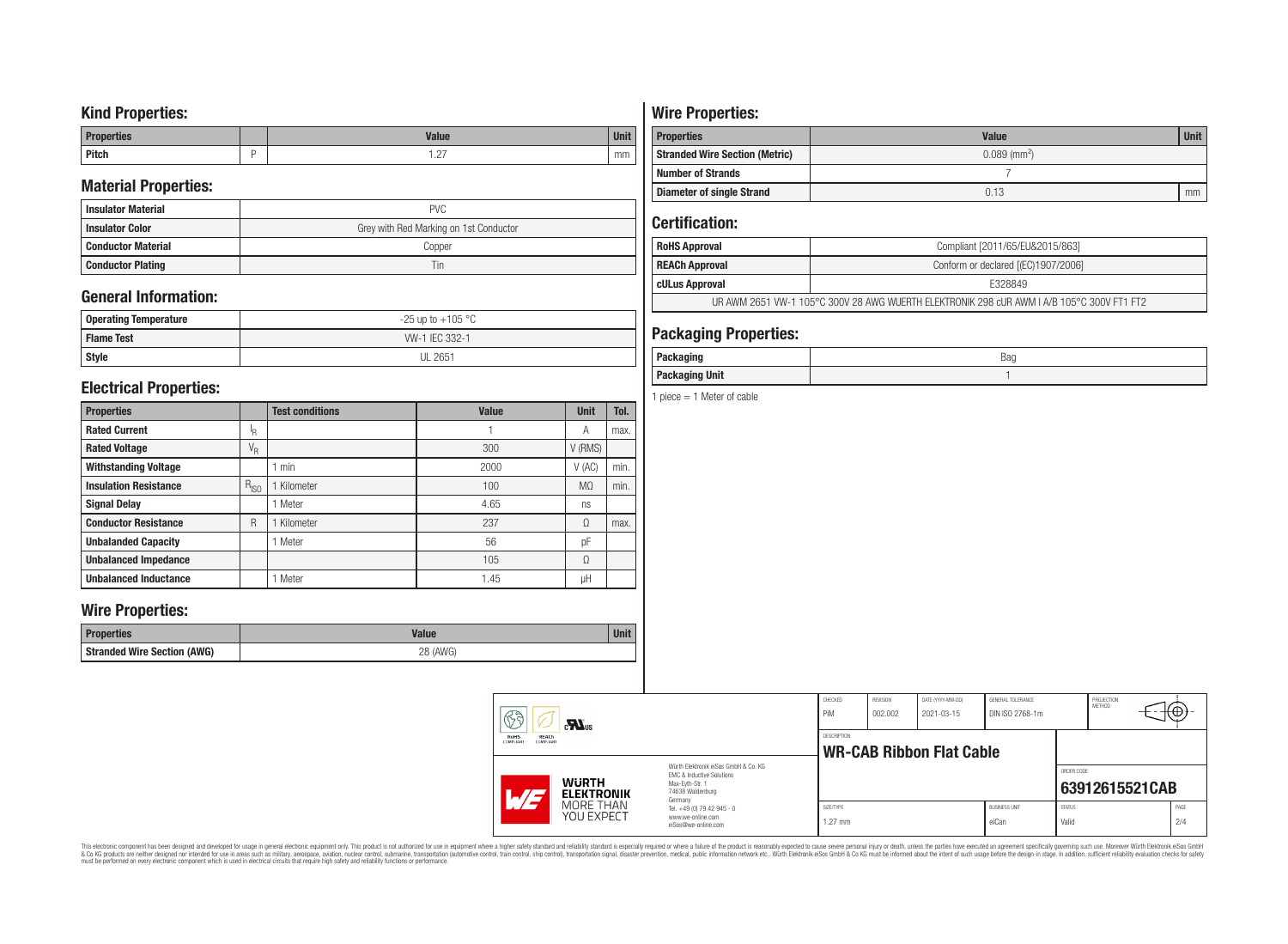### **Kind Properties:**

| <b>Properties</b> | <b>Value</b>                     | <b>Unit</b> |
|-------------------|----------------------------------|-------------|
| <b>Pitch</b>      | $\sim$<br>$\cdot$ $\sim$ $\cdot$ | mm          |

### **Material Properties:**

| <b>Insulator Material</b> | <b>PVC</b>                             |  |  |  |  |  |
|---------------------------|----------------------------------------|--|--|--|--|--|
| <b>Insulator Color</b>    | Grey with Red Marking on 1st Conductor |  |  |  |  |  |
| <b>Conductor Material</b> | Copper                                 |  |  |  |  |  |
| <b>Conductor Plating</b>  | Tin                                    |  |  |  |  |  |

## **General Information:**

| Operating Temperature | $-25$ up to $+105$ °C |
|-----------------------|-----------------------|
| <b>Flame Test</b>     | W-1 IEC 332-1         |
| <b>Style</b>          | <b>UL 2651</b>        |

### **Electrical Properties:**

| <b>Properties</b>            |                           | <b>Test conditions</b> | <b>Value</b> | <b>Unit</b>    | Tol. |
|------------------------------|---------------------------|------------------------|--------------|----------------|------|
| <b>Rated Current</b>         | ΙŖ.                       |                        |              | Α              | max. |
| <b>Rated Voltage</b>         | $\mathrm{V}_{\mathrm{R}}$ |                        | 300          | V (RMS)        |      |
| <b>Withstanding Voltage</b>  |                           | min                    | 2000         | V(AC)          | min. |
| <b>Insulation Resistance</b> | $R_{ISO}$                 | Kilometer              | 100          | M <sub>0</sub> | min. |
| <b>Signal Delay</b>          |                           | Meter                  | 4.65         | ns             |      |
| <b>Conductor Resistance</b>  | R                         | Kilometer              | 237          | Ω              | max. |
| <b>Unbalanded Capacity</b>   |                           | Meter                  | 56           | pF             |      |
| <b>Unbalanced Impedance</b>  |                           |                        | 105          | Ω              |      |
| <b>Unbalanced Inductance</b> |                           | Meter                  | 1.45         | μH             |      |

### **Wire Properties:**

| Properties                         | <b>Valut</b>   | Unit |
|------------------------------------|----------------|------|
| <b>Stranded Wire Section (AWG)</b> | 28 (AWG)<br>∠∪ |      |

# **Wire Properties:**

| <b>Properties</b>                                                   | <b>Value</b> | <b>Unit</b> |  |  |
|---------------------------------------------------------------------|--------------|-------------|--|--|
| $0.089$ (mm <sup>2</sup> )<br><b>Stranded Wire Section (Metric)</b> |              |             |  |  |
| <b>Number of Strands</b>                                            |              |             |  |  |
| <b>Diameter of single Strand</b>                                    | 0.13         | mm          |  |  |

# **Certification:**

| <b>RoHS Approval</b>                                                                      | Compliant [2011/65/EU&2015/863]     |  |  |  |
|-------------------------------------------------------------------------------------------|-------------------------------------|--|--|--|
| <b>REACh Approval</b>                                                                     | Conform or declared [(EC)1907/2006] |  |  |  |
| cULus Approval                                                                            | E328849                             |  |  |  |
| UR AWM 2651 VW-1 105°C 300V 28 AWG WUERTH ELEKTRONIK 298 cUR AWM I A/B 105°C 300V FT1 FT2 |                                     |  |  |  |

## **Packaging Properties:**

| <i>n</i> anina<br>rackayıny | Bag |
|-----------------------------|-----|
| <b>Packaging Unit</b>       |     |

1 piece  $= 1$  Meter of cable

|  | 63<br>$c$ <b>N</b> <sub>us</sub><br>REACh<br>RoHS                              |  | CHECKED<br>PiM<br>DESCRIPTION                                                     | REVISION<br>002.002    | DATE (YYYY-MM-DD)<br>2021-03-15 | GENERAL TOLERANCE<br>DIN ISO 2768-1m |                               | PROJECTION<br>METHOD   | ₩Φ∶            |             |
|--|--------------------------------------------------------------------------------|--|-----------------------------------------------------------------------------------|------------------------|---------------------------------|--------------------------------------|-------------------------------|------------------------|----------------|-------------|
|  | COMPLIANT<br>COMPLIANT                                                         |  | Würth Elektronik eiSos GmbH & Co. KG                                              |                        |                                 | <b>WR-CAB Ribbon Flat Cable</b>      |                               |                        |                |             |
|  | <b>WURTH</b><br>$\overline{M}$<br><b>ELEKTRONIK</b><br>MORE THAN<br>YOU EXPECT |  | EMC & Inductive Solutions<br>Max-Evth-Str. 1<br>74638 Waldenburg                  |                        |                                 |                                      |                               | ORDER CODE             | 63912615521CAB |             |
|  |                                                                                |  | Germany<br>Tel. +49 (0) 79 42 945 - 0<br>www.we-online.com<br>eiSos@we-online.com | SIZE/TYPE<br>$1.27$ mm |                                 |                                      | <b>BUSINESS UNIT</b><br>eiCan | <b>STATUS</b><br>Valid |                | PAGE<br>2/4 |

This electronic component has been designed and developed for usage in general electronic equipment only. This product is not authorized for subserved requipment where a higher selection equipment where a higher selection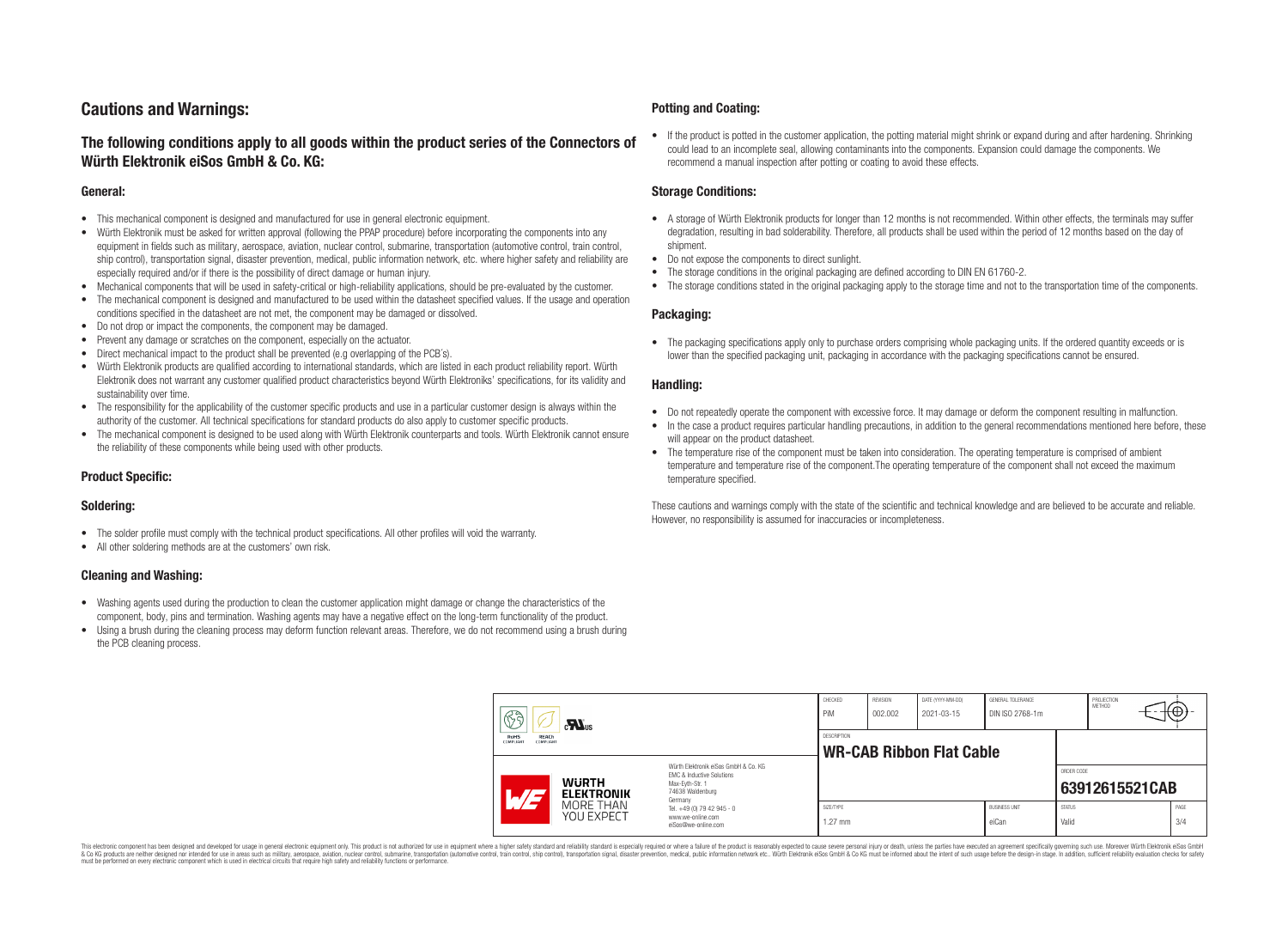## **Cautions and Warnings:**

### **The following conditions apply to all goods within the product series of the Connectors of Würth Elektronik eiSos GmbH & Co. KG:**

#### **General:**

- This mechanical component is designed and manufactured for use in general electronic equipment.
- Würth Elektronik must be asked for written approval (following the PPAP procedure) before incorporating the components into any equipment in fields such as military, aerospace, aviation, nuclear control, submarine, transportation (automotive control, train control, ship control), transportation signal, disaster prevention, medical, public information network, etc. where higher safety and reliability are especially required and/or if there is the possibility of direct damage or human injury.
- Mechanical components that will be used in safety-critical or high-reliability applications, should be pre-evaluated by the customer.
- The mechanical component is designed and manufactured to be used within the datasheet specified values. If the usage and operation conditions specified in the datasheet are not met, the component may be damaged or dissolved.
- Do not drop or impact the components, the component may be damaged.
- Prevent any damage or scratches on the component, especially on the actuator.
- Direct mechanical impact to the product shall be prevented (e.g overlapping of the PCB's).
- Würth Elektronik products are qualified according to international standards, which are listed in each product reliability report. Würth Elektronik does not warrant any customer qualified product characteristics beyond Würth Elektroniks' specifications, for its validity and sustainability over time.
- The responsibility for the applicability of the customer specific products and use in a particular customer design is always within the authority of the customer. All technical specifications for standard products do also apply to customer specific products.
- The mechanical component is designed to be used along with Würth Elektronik counterparts and tools. Würth Elektronik cannot ensure the reliability of these components while being used with other products.

#### **Product Specific:**

#### **Soldering:**

- The solder profile must comply with the technical product specifications. All other profiles will void the warranty.
- All other soldering methods are at the customers' own risk.

#### **Cleaning and Washing:**

- Washing agents used during the production to clean the customer application might damage or change the characteristics of the component, body, pins and termination. Washing agents may have a negative effect on the long-term functionality of the product.
- Using a brush during the cleaning process may deform function relevant areas. Therefore, we do not recommend using a brush during the PCB cleaning process.

#### **Potting and Coating:**

• If the product is potted in the customer application, the potting material might shrink or expand during and after hardening. Shrinking could lead to an incomplete seal, allowing contaminants into the components. Expansion could damage the components. We recommend a manual inspection after potting or coating to avoid these effects.

#### **Storage Conditions:**

- A storage of Würth Elektronik products for longer than 12 months is not recommended. Within other effects, the terminals may suffer degradation, resulting in bad solderability. Therefore, all products shall be used within the period of 12 months based on the day of shipment.
- Do not expose the components to direct sunlight.
- The storage conditions in the original packaging are defined according to DIN EN 61760-2.
- The storage conditions stated in the original packaging apply to the storage time and not to the transportation time of the components.

#### **Packaging:**

• The packaging specifications apply only to purchase orders comprising whole packaging units. If the ordered quantity exceeds or is lower than the specified packaging unit, packaging in accordance with the packaging specifications cannot be ensured.

#### **Handling:**

- Do not repeatedly operate the component with excessive force. It may damage or deform the component resulting in malfunction.
- In the case a product requires particular handling precautions, in addition to the general recommendations mentioned here before, these will appear on the product datasheet
- The temperature rise of the component must be taken into consideration. The operating temperature is comprised of ambient temperature and temperature rise of the component.The operating temperature of the component shall not exceed the maximum temperature specified.

These cautions and warnings comply with the state of the scientific and technical knowledge and are believed to be accurate and reliable. However, no responsibility is assumed for inaccuracies or incompleteness.

| 63<br>$\mathbf{M}_{\text{us}}$<br><b>RoHS</b><br><b>REACh</b><br><b>COMPLIANT</b><br>COMPLIANT |                                                                                                                                               | CHECKED<br>PiM                                        | <b>REVISION</b><br>002.002 | DATE (YYYY-MM-DD)<br>2021-03-15 | GENERAL TOLERANCE<br>DIN ISO 2768-1m |                        | PROJECTION<br><b>METHOD</b> | €⊕∶            |  |
|------------------------------------------------------------------------------------------------|-----------------------------------------------------------------------------------------------------------------------------------------------|-------------------------------------------------------|----------------------------|---------------------------------|--------------------------------------|------------------------|-----------------------------|----------------|--|
|                                                                                                |                                                                                                                                               | <b>DESCRIPTION</b><br><b>WR-CAB Ribbon Flat Cable</b> |                            |                                 |                                      |                        |                             |                |  |
| AT                                                                                             | Würth Flektronik eiSos GmbH & Co. KG<br>EMC & Inductive Solutions<br><b>WURTH</b><br>Max-Evth-Str. 1<br>74638 Waldenburg<br><b>ELEKTRONIK</b> |                                                       |                            |                                 |                                      |                        | ORDER CODE                  | 63912615521CAB |  |
| MORE THAN<br><b>YOU EXPECT</b>                                                                 | Germany<br>Tel. +49 (0) 79 42 945 - 0<br>www.we-online.com<br>eiSos@we-online.com                                                             | SIZE/TYPE<br>$1.27$ mm                                |                            |                                 | <b>BUSINESS UNIT</b><br>eiCan        | <b>STATUS</b><br>Valid |                             | PAGE<br>3/4    |  |

This electronic component has been designed and developed for usage in general electronic equipment only. This product is not authorized for use in equipment where a higher safety standard and reliability standard si espec & Ook product a label and the membed of the seasuch as marked and as which such a membed and the such assume that income in the seasuch and the simulation and the such assume that include to the such a membed and the such